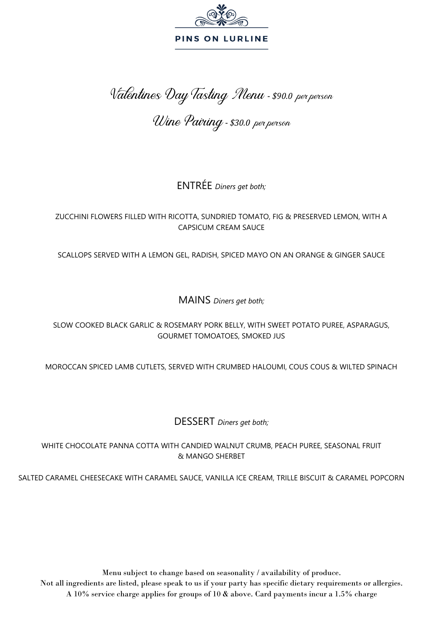

Valentines Day Tasting Menu - *\$90.0* per person

Wine Pairing- *\$30.0* per person

ENTRÉE *Diners get both;*

#### ZUCCHINI FLOWERS FILLED WITH RICOTTA, SUNDRIED TOMATO, FIG & PRESERVED LEMON, WITH A CAPSICUM CREAM SAUCE

SCALLOPS SERVED WITH A LEMON GEL, RADISH, SPICED MAYO ON AN ORANGE & GINGER SAUCE

MAINS *Diners get both;*

SLOW COOKED BLACK GARLIC & ROSEMARY PORK BELLY, WITH SWEET POTATO PUREE, ASPARAGUS, GOURMET TOMOATOES, SMOKED JUS

MOROCCAN SPICED LAMB CUTLETS, SERVED WITH CRUMBED HALOUMI, COUS COUS & WILTED SPINACH

DESSERT *Diners get both;*

WHITE CHOCOLATE PANNA COTTA WITH CANDIED WALNUT CRUMB, PEACH PUREE, SEASONAL FRUIT & MANGO SHERBET

SALTED CARAMEL CHEESECAKE WITH CARAMEL SAUCE, VANILLA ICE CREAM, TRILLE BISCUIT & CARAMEL POPCORN

Menu subject to change based on seasonality / availability of produce. Not all ingredients are listed, please speak to us if your party has specific dietary requirements or allergies. A 10% service charge applies for groups of 10 & above. Card payments incur a 1.5% charge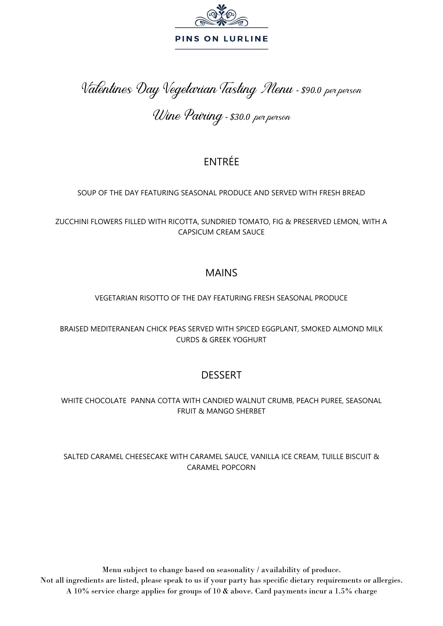

# Valentines Day Vegetarian Tasting Menu - *\$90.0* per person

# Wine Pairing- *\$30.0* per person

## ENTRÉE

#### SOUP OF THE DAY FEATURING SEASONAL PRODUCE AND SERVED WITH FRESH BREAD

ZUCCHINI FLOWERS FILLED WITH RICOTTA, SUNDRIED TOMATO, FIG & PRESERVED LEMON, WITH A CAPSICUM CREAM SAUCE

### MAINS

### VEGETARIAN RISOTTO OF THE DAY FEATURING FRESH SEASONAL PRODUCE

BRAISED MEDITERANEAN CHICK PEAS SERVED WITH SPICED EGGPLANT, SMOKED ALMOND MILK CURDS & GREEK YOGHURT

## DESSERT

#### WHITE CHOCOLATE PANNA COTTA WITH CANDIED WALNUT CRUMB, PEACH PUREE, SEASONAL FRUIT & MANGO SHERBET

#### SALTED CARAMEL CHEESECAKE WITH CARAMEL SAUCE, VANILLA ICE CREAM, TUILLE BISCUIT & CARAMEL POPCORN

Menu subject to change based on seasonality / availability of produce. Not all ingredients are listed, please speak to us if your party has specific dietary requirements or allergies. A 10% service charge applies for groups of 10 & above. Card payments incur a 1.5% charge